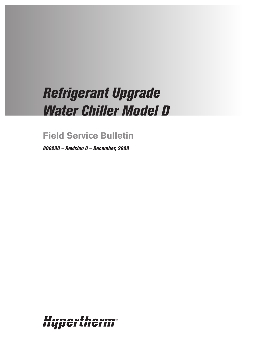# *Refrigerant Upgrade Water Chiller Model D*

# **Field Service Bulletin**

*806230 – Revision 0 – December, 2008*

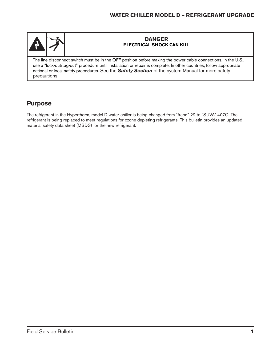

### **DANGER ELECTRICAL SHOCK CAN KILL**

The line disconnect switch must be in the OFF position before making the power cable connections. In the U.S., use a "lock-out/tag-out" procedure until installation or repair is complete. In other countries, follow appropriate national or local safety procedures. See the *Safety Section* of the system Manual for more safety precautions.

## **Purpose**

The refrigerant in the Hypertherm, model D water-chiller is being changed from "freon" 22 to "SUVA" 407C. The refrigerant is being replaced to meet regulations for ozone depleting refrigerants. This bulletin provides an updated material safety data sheet (MSDS) for the new refrigerant.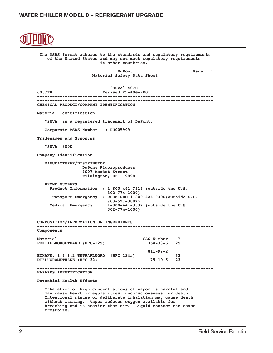```
 The MSDS format adheres to the standards and regulatory requirements
           of the United States and may not meet regulatory requirements
                               in other countries.
DuPont Different Page 1
                            Material Safety Data Sheet
       ----------------------------------------------------------------------
                                   "SUVA" 407C
       6037FR Revised 29-AUG-2001
        ----------------------------------------------------------------------
       ----------------------------------------------------------------------
       CHEMICAL PRODUCT/COMPANY IDENTIFICATION
            ----------------------------------------------------------------------
       Material Identification
          "SUVA" is a registered trademark of DuPont.
          Corporate MSDS Number : DU005999
       Tradenames and Synonyms
          "SUVA" 9000
       Company Identification
          MANUFACTURER/DISTRIBUTOR
                        DuPont Fluoroproducts
                        1007 Market Street
                        Wilmington, DE 19898
          PHONE NUMBERS
            Product Information : 1-800-441-7515 (outside the U.S.
                                  302-774-1000)
            Transport Emergency : CHEMTREC 1-800-424-9300(outside U.S.
            703-527-3887)
                               Medical Emergency : 1-800-441-3637 (outside the U.S.
                                  302-774-1000)
            ----------------------------------------------------------------------
       COMPOSITION/INFORMATION ON INGREDIENTS
       ----------------------------------------------------------------------
       Components
       Material CAS Number %
       PENTAFLUOROETHANE (HFC-125) 354-33-6 25
                                                 811-97-2
       ETHANE, 1,1,1,2-TETRAFLUORO- (HFC-134a) 52
       DIFLUOROMETHANE (HFC-32) 75-10-5 23
          ----------------------------------------------------------------------
       HAZARDS IDENTIFICATION
       ----------------------------------------------------------------------
       Potential Health Effects
          Inhalation of high concentrations of vapor is harmful and
          may cause heart irregularities, unconsciousness, or death.
          Intentional misuse or deliberate inhalation may cause death
          without warning. Vapor reduces oxygen available for
          breathing and is heavier than air. Liquid contact can cause
```
 **frostbite.**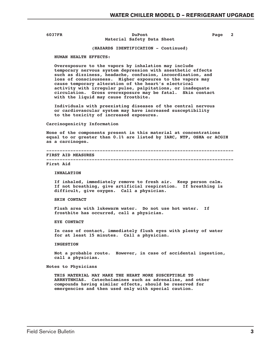#### **6037FR DuPont Page 2 Material Safety Data Sheet**

#### **(HAZARDS IDENTIFICATION - Continued)**

 **HUMAN HEALTH EFFECTS:**

 **Overexposure to the vapors by inhalation may include temporary nervous system depression with anesthetic effects such as dizziness, headache, confusion, incoordination, and loss of consciousness. Higher exposures to the vapors may cause temporary alteration of the heart's electrical activity with irregular pulse, palpitations, or inadequate circulation. Gross overexposure may be fatal. Skin contact with the liquid may cause frostbite.**

 **Individuals with preexisting diseases of the central nervous or cardiovascular system may have increased susceptibility to the toxicity of increased exposures.**

 **Carcinogenicity Information**

 **None of the components present in this material at concentrations equal to or greater than 0.1% are listed by IARC, NTP, OSHA or ACGIH as a carcinogen.**

```
 ----------------------------------------------------------------------
 FIRST AID MEASURES
 ----------------------------------------------------------------------
```
#### **First Aid**

#### **INHALATION**

 **If inhaled, immediately remove to fresh air. Keep person calm. If not breathing, give artificial respiration. If breathing is difficult, give oxygen. Call a physician.**

#### **SKIN CONTACT**

 **Flush area with lukewarm water. Do not use hot water. If frostbite has occurred, call a physician.**

 **EYE CONTACT**

 **In case of contact, immediately flush eyes with plenty of water for at least 15 minutes. Call a physician.**

 **INGESTION**

 **Not a probable route. However, in case of accidental ingestion, call a physician.**

 **Notes to Physicians**

 **THIS MATERIAL MAY MAKE THE HEART MORE SUSCEPTIBLE TO ARRHYTHMIAS. Catecholamines such as adrenaline, and other compounds having similar effects, should be reserved for emergencies and then used only with special caution.**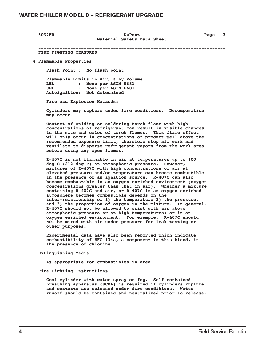#### **6037FR DuPont Page 3 Material Safety Data Sheet**

 **---------------------------------------------------------------------- FIRE FIGHTING MEASURES ----------------------------------------------------------------------**

 **# Flammable Properties**

 **Flash Point : No flash point**

 **Flammable Limits in Air, % by Volume: LEL : None per ASTM E681 UEL : None per ASTM E681 Autoignition: Not determined**

 **Fire and Explosion Hazards:**

 **Cylinders may rupture under fire conditions. Decomposition may occur.**

 **Contact of welding or soldering torch flame with high concentrations of refrigerant can result in visible changes in the size and color of torch flames. This flame effect will only occur in concentrations of product well above the recommended exposure limit, therefore stop all work and ventilate to disperse refrigerant vapors from the work area before using any open flames.**

 **R-407C is not flammable in air at temperatures up to 100 deg C (212 deg F) at atmospheric pressure. However, mixtures of R-407C with high concentrations of air at elevated pressure and/or temperature can become combustible in the presence of an ignition source. R-407C can also become combustible in an oxygen enriched environment (oxygen concentrations greater than that in air). Whether a mixture containing R-407C and air, or R-407C in an oxygen enriched atmosphere becomes combustible depends on the inter-relationship of 1) the temperature 2) the pressure, and 3) the proportion of oxygen in the mixture. In general, R-407C should not be allowed to exist with air above atmospheric pressure or at high temperatures; or in an oxygen enriched environment. For example: R-407C should NOT be mixed with air under pressure for leak testing or other purposes.**

 **Experimental data have also been reported which indicate combustibility of HFC-134a, a component in this blend, in the presence of chlorine.**

 **Extinguishing Media**

 **As appropriate for combustibles in area.**

 **Fire Fighting Instructions**

 **Cool cylinder with water spray or fog. Self-contained breathing apparatus (SCBA) is required if cylinders rupture and contents are released under fire conditions. Water runoff should be contained and neutralized prior to release.**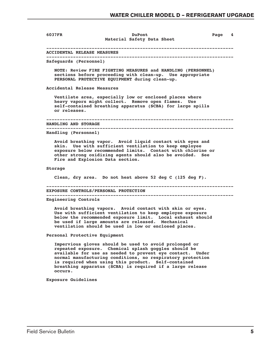**6037FR DuPont Page 4 Material Safety Data Sheet ---------------------------------------------------------------------- ACCIDENTAL RELEASE MEASURES ---------------------------------------------------------------------- Safeguards (Personnel) NOTE: Review FIRE FIGHTING MEASURES and HANDLING (PERSONNEL) sections before proceeding with clean-up. Use appropriate PERSONAL PROTECTIVE EQUIPMENT during clean-up. Accidental Release Measures Ventilate area, especially low or enclosed places where heavy vapors might collect. Remove open flames. Use self-contained breathing apparatus (SCBA) for large spills or releases. ---------------------------------------------------------------------- HANDLING AND STORAGE ---------------------------------------------------------------------- Handling (Personnel) Avoid breathing vapor. Avoid liquid contact with eyes and skin. Use with sufficient ventilation to keep employee exposure below recommended limits. Contact with chlorine or other strong oxidizing agents should also be avoided. See Fire and Explosion Data section. Storage Clean, dry area. Do not heat above 52 deg C (125 deg F). ---------------------------------------------------------------------- EXPOSURE CONTROLS/PERSONAL PROTECTION ---------------------------------------------------------------------- Engineering Controls Avoid breathing vapors. Avoid contact with skin or eyes. Use with sufficient ventilation to keep employee exposure below the recommended exposure limit. Local exhaust should be used if large amounts are released. Mechanical ventilation should be used in low or enclosed places. Personal Protective Equipment Impervious gloves should be used to avoid prolonged or repeated exposure. Chemical splash goggles should be available for use as needed to prevent eye contact. Under normal manufacturing conditions, no respiratory protection is required when using this product. Self-contained breathing apparatus (SCBA) is required if a large release occurs. Exposure Guidelines**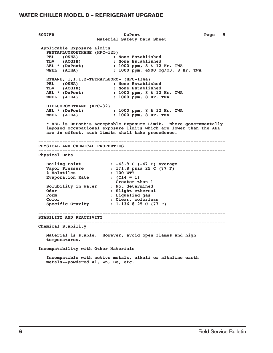**6037FR DuPont Page 5 Material Safety Data Sheet Applicable Exposure Limits PENTAFLUOROETHANE (HFC-125) PEL (OSHA) : None Established<br>TLV (ACGIH) : None Established** TLV (ACGIH) : None Established<br>AEL \* (DuPont) : 1000 ppm, 8 & 12 **AEL \* (DuPont) : 1000 ppm, 8 & 12 Hr. TWA**<br> **WEEL** (AIHA) : 1000 ppm, 4900 mg/m3, 8 1  **WEEL (AIHA) : 1000 ppm, 4900 mg/m3, 8 Hr. TWA ETHANE, 1,1,1,2-TETRAFLUORO- (HFC-134a) PEL (OSHA) : None Established<br>TLV (ACGIH) : None Established TLV (ACGIH) : None Established AEL \* (DuPont) : 1000 ppm, 8 & 12 Hr. TWA WEEL (AIHA) : 1000 ppm, 8 Hr. TWA DIFLUOROMETHANE (HFC-32) AEL \* (DuPont) : 1000 ppm, 8 & 12 Hr. TWA WEEL (AIHA) : 1000 ppm, 8 Hr. TWA \* AEL is DuPont's Acceptable Exposure Limit. Where governmentally imposed occupational exposure limits which are lower than the AEL are in effect, such limits shall take precedence. ---------------------------------------------------------------------- PHYSICAL AND CHEMICAL PROPERTIES ---------------------------------------------------------------------- Physical Data Boiling Point : -43.9 C (-47 F) Average<br>
Vapor Pressure : 171.8 psia 25 C (77 F) Vapor Pressure : 171.8 psia 25 C (77 F) % Volatiles : 100 WT%** Evaporation Rate :  $(Cl4 = 1)$  **Greater than 1 Solubility in Water Odor : Slight ethereal** Form : Liquefied gas  **Color : Clear, colorless Specific Gravity : 1.136 @ 25 C (77 F) ---------------------------------------------------------------------- STABILITY AND REACTIVITY ---------------------------------------------------------------------- Chemical Stability Material is stable. However, avoid open flames and high temperatures. Incompatibility with Other Materials**

> **Incompatible with active metals, alkali or alkaline earth metals--powdered Al, Zn, Be, etc.**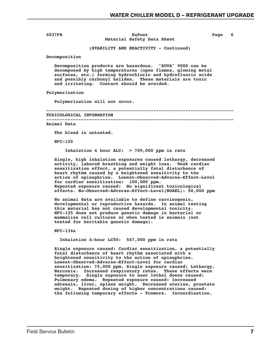#### **6037FR DuPont Page 6 Material Safety Data Sheet**

 **(STABILITY AND REACTIVITY - Continued)**

 **Decomposition**

 **Decomposition products are hazardous. "SUVA" 9000 can be decomposed by high temperatures (open flames, glowing metal surfaces, etc.) forming hydrochloric and hydrofluoric acids and possibly carbonyl halides. These materials are toxic and irritating. Contact should be avoided.**

 **Polymerization**

 **Polymerization will not occur.**

 **----------------------------------------------------------------------**

#### **TOXICOLOGICAL INFORMATION**

 **----------------------------------------------------------------------**

 **Animal Data**

 **The blend is untested.**

 **HFC-125**

 **Inhalation 4 hour ALC: > 709,000 ppm in rats**

 **Single, high inhalation exposures caused lethargy, decreased activity, labored breathing and weight loss. Weak cardiac sensitization effect, a potentially fatal disturbance of heart rhythm caused by a heightened sensitivity to the action of epinephrine. Lowest-Observed-Adverse-Effect-Level for cardiac sensitization: 100,000 ppm. Repeated exposure caused: No significant toxicological effects. No-Observed-Adverse-Effect-Level(NOAEL): 50,000 ppm**

> **No animal data are available to define carcinogenic, developmental or reproductive hazards. In animal testing this material has not caused developmental toxicity. HFC-125 does not produce genetic damage in bacterial or mammalian cell cultures or when tested in animals (not tested for heritable genetic damage).**

 **HFC-134a**

 **Inhalation 4-hour LC50: 567,000 ppm in rats**

 **Single exposure caused: Cardiac sensitization, a potentially fatal disturbance of heart rhythm associated with a heightened sensitivity to the action of epinephrine. Lowest-Observed-Adverse-Effect-Level for cardiac sensitization: 75,000 ppm. Single exposure caused: Lethargy. Narcosis. Increased respiratory rates. These effects were temporary. Single exposure to near lethal doses caused: Pulmonary edema. Repeated exposure caused: Increased adrenals, liver, spleen weight. Decreased uterine, prostate weight. Repeated dosing of higher concentrations caused: the following temporary effects - Tremors. Incoordination.**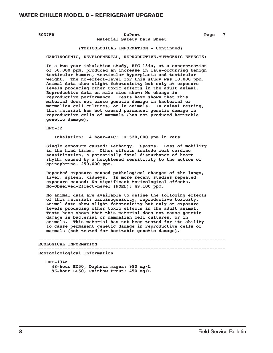#### **6037FR DuPont DuPont Page 7 Material Safety Data Sheet**

#### **(TOXICOLOGICAL INFORMATION - Continued)**

 **CARCINOGENIC, DEVELOPMENTAL, REPRODUCTIVE,MUTAGENIC EFFECTS:**

 **In a two-year inhalation study, HFC-134a, at a concentration of 50,000 ppm, produced an increase in late-occurring benign testicular tumors, testicular hyperplasia and testicular weight. The no-effect-level for this study was 10,000 ppm. Animal data show slight fetotoxicity but only at exposure levels producing other toxic effects in the adult animal. Reproductive data on male mice show: No change in reproductive performance. Tests have shown that this material does not cause genetic damage in bacterial or mammalian cell cultures, or in animals. In animal testing, this material has not caused permanent genetic damage in reproductive cells of mammals (has not produced heritable genetic damage).**

 **HFC-32**

 **Inhalation: 4 hour-ALC: > 520,000 ppm in rats**

 **Single exposure caused: Lethargy. Spasms. Loss of mobility in the hind limbs. Other effects include weak cardiac sensitization, a potentially fatal disturbance of heart rhythm caused by a heightened sensitivity to the action of epinephrine. 250,000 ppm.**

 **Repeated exposure caused pathological changes of the lungs, liver, spleen, kidneys. In more recent studies repeated exposure caused: No significant toxicological effects. No-Observed-Effect-Level (NOEL): 49,100 ppm.**

 **No animal data are available to define the following effects of this material: carcinogenicity, reproductive toxicity. Animal data show slight fetotoxicity but only at exposure levels producing other toxic effects in the adult animal. Tests have shown that this material does not cause genetic damage in bacterial or mammalian cell cultures, or in animals. This material has not been tested for its ability to cause permanent genetic damage in reproductive cells of mammals (not tested for heritable genetic damage).**

```
 ----------------------------------------------------------------------
 ECOLOGICAL INFORMATION
```
 **----------------------------------------------------------------------**

 **Ecotoxicological Information**

 **HFC-134a 48-hour EC50, Daphnia magna: 980 mg/L 96-hour LC50, Rainbow trout: 450 mg/L**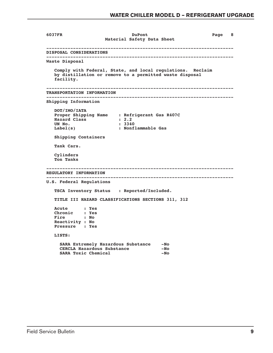```
 6037FR DuPont Page 8
                             Material Safety Data Sheet
       ----------------------------------------------------------------------
       DISPOSAL CONSIDERATIONS
       ----------------------------------------------------------------------
       Waste Disposal
          Comply with Federal, State, and local regulations. Reclaim
          by distillation or remove to a permitted waste disposal
          facility.
        ----------------------------------------------------------------------
       TRANSPORTATION INFORMATION
       ----------------------------------------------------------------------
       Shipping Information
          DOT/IMO/IATA
          Proper Shipping Name : Refrigerant Gas R407C
         Hazard Class
         UN No. : 3340<br>
Label(s) : Nonf
                                  Label(s) : Nonflammable Gas
          Shipping Containers
          Tank Cars.
          Cylinders
          Ton Tanks
       ----------------------------------------------------------------------
       REGULATORY INFORMATION
       ----------------------------------------------------------------------
       U.S. Federal Regulations
          TSCA Inventory Status : Reported/Included.
          TITLE III HAZARD CLASSIFICATIONS SECTIONS 311, 312
          Acute : Yes
          Chronic : Yes
          Fire : No
          Reactivity : No
         Pressure
          LISTS:
            SARA Extremely Hazardous Substance -No
            CERCLA Hazardous Substance -No<br>
SARA Toxic Chemical -No
           SARA Toxic Chemical
```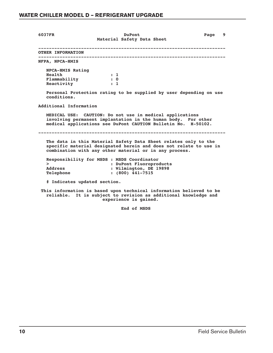| 6037FR                                                                  | <b>DuPont</b><br>Material Safety Data Sheet                                                                                                                                                    | Page 9 |
|-------------------------------------------------------------------------|------------------------------------------------------------------------------------------------------------------------------------------------------------------------------------------------|--------|
| OTHER INFORMATION                                                       |                                                                                                                                                                                                |        |
| NFPA, NPCA-HMIS                                                         |                                                                                                                                                                                                |        |
| NPCA-HMIS Rating<br>Health<br>Flammability<br>Reactivity<br>conditions. | $\cdot$ 1<br>$\cdot$ 0<br>$\cdots$<br>Personal Protection rating to be supplied by user depending on use                                                                                       |        |
|                                                                         | MEDICAL USE: CAUTION: Do not use in medical applications<br>involving permanent implantation in the human body. For other<br>medical applications see DuPont CAUTION Bulletin No. H-50102.     |        |
|                                                                         | The data in this Material Safety Data Sheet relates only to the<br>specific material designated herein and does not relate to use in<br>combination with any other material or in any process. |        |
| $\geq$<br><b>Address</b><br>Telephone                                   | Responsibility for MSDS : MSDS Coordinator<br>: DuPont Fluoroproducts<br>: Wilmington, DE 19898<br>$: (800)$ 441-7515                                                                          |        |
| # Indicates updated section.                                            |                                                                                                                                                                                                |        |
|                                                                         | This information is based upon technical information believed to be<br>reliable. It is subject to revision as additional knowledge and<br>experience is gained.                                |        |

 **End of MSDS**